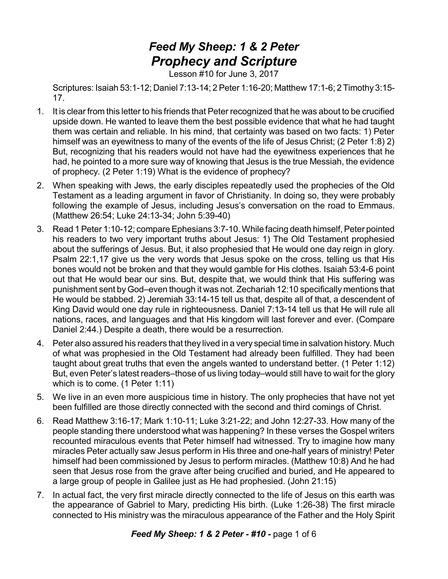## *Feed My Sheep: 1 & 2 Peter Prophecy and Scripture*

Lesson #10 for June 3, 2017

Scriptures: Isaiah 53:1-12; Daniel 7:13-14; 2Peter 1:16-20; Matthew 17:1-6; 2 Timothy 3:15- 17.

- 1. It is clear from this letter to his friends that Peter recognized that he was about to be crucified upside down. He wanted to leave them the best possible evidence that what he had taught them was certain and reliable. In his mind, that certainty was based on two facts: 1) Peter himself was an eyewitness to many of the events of the life of Jesus Christ; (2 Peter 1:8) 2) But, recognizing that his readers would not have had the eyewitness experiences that he had, he pointed to a more sure way of knowing that Jesus is the true Messiah, the evidence of prophecy. (2 Peter 1:19) What is the evidence of prophecy?
- 2. When speaking with Jews, the early disciples repeatedly used the prophecies of the Old Testament as a leading argument in favor of Christianity. In doing so, they were probably following the example of Jesus, including Jesus's conversation on the road to Emmaus. (Matthew 26:54; Luke 24:13-34; John 5:39-40)
- 3. Read 1 Peter 1:10-12; compare Ephesians 3:7-10. While facing death himself, Peter pointed his readers to two very important truths about Jesus: 1) The Old Testament prophesied about the sufferings of Jesus. But, it also prophesied that He would one day reign in glory. Psalm 22:1,17 give us the very words that Jesus spoke on the cross, telling us that His bones would not be broken and that they would gamble for His clothes. Isaiah 53:4-6 point out that He would bear our sins. But, despite that, we would think that His suffering was punishment sent by God–even though it was not. Zechariah 12:10 specifically mentions that He would be stabbed. 2) Jeremiah 33:14-15 tell us that, despite all of that, a descendent of King David would one day rule in righteousness. Daniel 7:13-14 tell us that He will rule all nations, races, and languages and that His kingdom will last forever and ever. (Compare Daniel 2:44.) Despite a death, there would be a resurrection.
- 4. Peter also assured his readers that they lived in a very special time in salvation history. Much of what was prophesied in the Old Testament had already been fulfilled. They had been taught about great truths that even the angels wanted to understand better. (1 Peter 1:12) But, even Peter's latest readers–those of us living today–would still have to wait for the glory which is to come. (1 Peter 1:11)
- 5. We live in an even more auspicious time in history. The only prophecies that have not yet been fulfilled are those directly connected with the second and third comings of Christ.
- 6. Read Matthew 3:16-17; Mark 1:10-11; Luke 3:21-22; and John 12:27-33. How many of the people standing there understood what was happening? In these verses the Gospel writers recounted miraculous events that Peter himself had witnessed. Try to imagine how many miracles Peter actually saw Jesus perform in His three and one-half years of ministry! Peter himself had been commissioned by Jesus to perform miracles. (Matthew 10:8) And he had seen that Jesus rose from the grave after being crucified and buried, and He appeared to a large group of people in Galilee just as He had prophesied. (John 21:15)
- 7. In actual fact, the very first miracle directly connected to the life of Jesus on this earth was the appearance of Gabriel to Mary, predicting His birth. (Luke 1:26-38) The first miracle connected to His ministry was the miraculous appearance of the Father and the Holy Spirit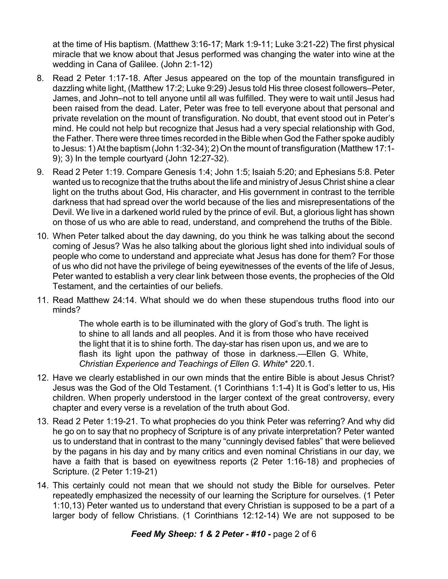at the time of His baptism. (Matthew 3:16-17; Mark 1:9-11; Luke 3:21-22) The first physical miracle that we know about that Jesus performed was changing the water into wine at the wedding in Cana of Galilee. (John 2:1-12)

- 8. Read 2 Peter 1:17-18. After Jesus appeared on the top of the mountain transfigured in dazzling white light, (Matthew 17:2; Luke 9:29) Jesus told His three closest followers–Peter, James, and John–not to tell anyone until all was fulfilled. They were to wait until Jesus had been raised from the dead. Later, Peter was free to tell everyone about that personal and private revelation on the mount of transfiguration. No doubt, that event stood out in Peter's mind. He could not help but recognize that Jesus had a very special relationship with God, the Father. There were three times recorded in the Bible when God the Father spoke audibly to Jesus: 1) At the baptism (John 1:32-34); 2) On the mount of transfiguration (Matthew 17:1- 9); 3) In the temple courtyard (John 12:27-32).
- 9. Read 2 Peter 1:19. Compare Genesis 1:4; John 1:5; Isaiah 5:20; and Ephesians 5:8. Peter wanted us to recognize that the truths about the life and ministry of Jesus Christ shine a clear light on the truths about God, His character, and His government in contrast to the terrible darkness that had spread over the world because of the lies and misrepresentations of the Devil. We live in a darkened world ruled by the prince of evil. But, a glorious light has shown on those of us who are able to read, understand, and comprehend the truths of the Bible.
- 10. When Peter talked about the day dawning, do you think he was talking about the second coming of Jesus? Was he also talking about the glorious light shed into individual souls of people who come to understand and appreciate what Jesus has done for them? For those of us who did not have the privilege of being eyewitnesses of the events of the life of Jesus, Peter wanted to establish a very clear link between those events, the prophecies of the Old Testament, and the certainties of our beliefs.
- 11. Read Matthew 24:14. What should we do when these stupendous truths flood into our minds?

The whole earth is to be illuminated with the glory of God's truth. The light is to shine to all lands and all peoples. And it is from those who have received the light that it is to shine forth. The day-star has risen upon us, and we are to flash its light upon the pathway of those in darkness.—Ellen G. White, *Christian Experience and Teachings of Ellen G. White*\* 220.1.

- 12. Have we clearly established in our own minds that the entire Bible is about Jesus Christ? Jesus was the God of the Old Testament. (1 Corinthians 1:1-4) It is God's letter to us, His children. When properly understood in the larger context of the great controversy, every chapter and every verse is a revelation of the truth about God.
- 13. Read 2 Peter 1:19-21. To what prophecies do you think Peter was referring? And why did he go on to say that no prophecy of Scripture is of any private interpretation? Peter wanted us to understand that in contrast to the many "cunningly devised fables" that were believed by the pagans in his day and by many critics and even nominal Christians in our day, we have a faith that is based on eyewitness reports (2 Peter 1:16-18) and prophecies of Scripture. (2 Peter 1:19-21)
- 14. This certainly could not mean that we should not study the Bible for ourselves. Peter repeatedly emphasized the necessity of our learning the Scripture for ourselves. (1 Peter 1:10,13) Peter wanted us to understand that every Christian is supposed to be a part of a larger body of fellow Christians. (1 Corinthians 12:12-14) We are not supposed to be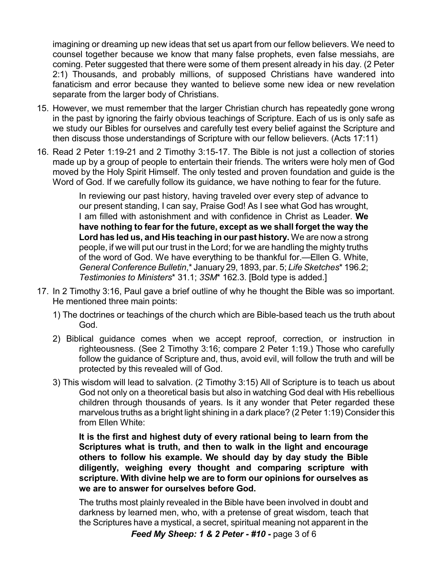imagining or dreaming up new ideas that set us apart from our fellow believers. We need to counsel together because we know that many false prophets, even false messiahs, are coming. Peter suggested that there were some of them present already in his day. (2 Peter 2:1) Thousands, and probably millions, of supposed Christians have wandered into fanaticism and error because they wanted to believe some new idea or new revelation separate from the larger body of Christians.

- 15. However, we must remember that the larger Christian church has repeatedly gone wrong in the past by ignoring the fairly obvious teachings of Scripture. Each of us is only safe as we study our Bibles for ourselves and carefully test every belief against the Scripture and then discuss those understandings of Scripture with our fellow believers. (Acts 17:11)
- 16. Read 2 Peter 1:19-21 and 2 Timothy 3:15-17. The Bible is not just a collection of stories made up by a group of people to entertain their friends. The writers were holy men of God moved by the Holy Spirit Himself. The only tested and proven foundation and guide is the Word of God. If we carefully follow its guidance, we have nothing to fear for the future.

In reviewing our past history, having traveled over every step of advance to our present standing, I can say, Praise God! As I see what God has wrought, I am filled with astonishment and with confidence in Christ as Leader. **We have nothing to fear for the future, except as we shall forget the way the Lord has led us, and His teaching in our past history.** We are now a strong people, if we will put our trust in the Lord; for we are handling the mighty truths of the word of God. We have everything to be thankful for.—Ellen G. White, *General Conference Bulletin*,\* January 29, 1893, par. 5; *Life Sketches*\* 196.2; *Testimonies to Ministers*\* 31.1; *3SM*\* 162.3. [Bold type is added.]

- 17. In 2 Timothy 3:16, Paul gave a brief outline of why he thought the Bible was so important. He mentioned three main points:
	- 1) The doctrines or teachings of the church which are Bible-based teach us the truth about God.
	- 2) Biblical guidance comes when we accept reproof, correction, or instruction in righteousness. (See 2 Timothy 3:16; compare 2 Peter 1:19.) Those who carefully follow the guidance of Scripture and, thus, avoid evil, will follow the truth and will be protected by this revealed will of God.
	- 3) This wisdom will lead to salvation. (2 Timothy 3:15) All of Scripture is to teach us about God not only on a theoretical basis but also in watching God deal with His rebellious children through thousands of years. Is it any wonder that Peter regarded these marvelous truths as a bright light shining in a dark place? (2 Peter 1:19) Consider this from Ellen White:

**It is the first and highest duty of every rational being to learn from the Scriptures what is truth, and then to walk in the light and encourage others to follow his example. We should day by day study the Bible diligently, weighing every thought and comparing scripture with scripture. With divine help we are to form our opinions for ourselves as we are to answer for ourselves before God.**

The truths most plainly revealed in the Bible have been involved in doubt and darkness by learned men, who, with a pretense of great wisdom, teach that the Scriptures have a mystical, a secret, spiritual meaning not apparent in the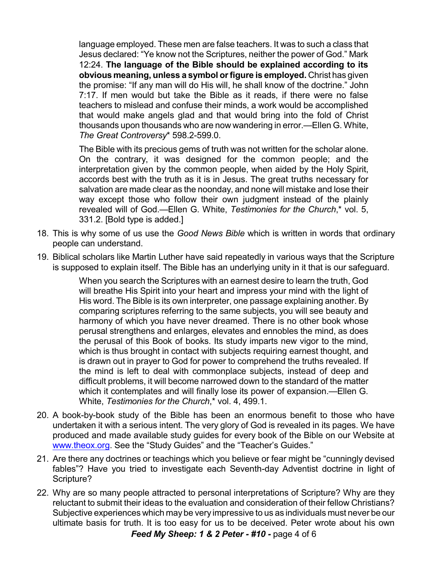language employed. These men are false teachers. It was to such a class that Jesus declared: "Ye know not the Scriptures, neither the power of God." Mark 12:24. **The language of the Bible should be explained according to its obvious meaning, unless a symbol orfigure is employed.** Christ has given the promise: "If any man will do His will, he shall know of the doctrine." John 7:17. If men would but take the Bible as it reads, if there were no false teachers to mislead and confuse their minds, a work would be accomplished that would make angels glad and that would bring into the fold of Christ thousands upon thousands who are now wandering in error.—Ellen G. White, *The Great Controversy*\* 598.2-599.0.

The Bible with its precious gems of truth was not written for the scholar alone. On the contrary, it was designed for the common people; and the interpretation given by the common people, when aided by the Holy Spirit, accords best with the truth as it is in Jesus. The great truths necessary for salvation are made clear as the noonday, and none will mistake and lose their way except those who follow their own judgment instead of the plainly revealed will of God.—Ellen G. White, *Testimonies for the Church*,\* vol. 5, 331.2. [Bold type is added.]

- 18. This is why some of us use the *Good News Bible* which is written in words that ordinary people can understand.
- 19. Biblical scholars like Martin Luther have said repeatedly in various ways that the Scripture is supposed to explain itself. The Bible has an underlying unity in it that is our safeguard.

When you search the Scriptures with an earnest desire to learn the truth, God will breathe His Spirit into your heart and impress your mind with the light of His word. The Bible is its own interpreter, one passage explaining another. By comparing scriptures referring to the same subjects, you will see beauty and harmony of which you have never dreamed. There is no other book whose perusal strengthens and enlarges, elevates and ennobles the mind, as does the perusal of this Book of books. Its study imparts new vigor to the mind, which is thus brought in contact with subjects requiring earnest thought, and is drawn out in prayer to God for power to comprehend the truths revealed. If the mind is left to deal with commonplace subjects, instead of deep and difficult problems, it will become narrowed down to the standard of the matter which it contemplates and will finally lose its power of expansion.—Ellen G. White, *Testimonies for the Church*,\* vol. 4, 499.1.

- 20. A book-by-book study of the Bible has been an enormous benefit to those who have undertaken it with a serious intent. The very glory of God is revealed in its pages. We have produced and made available study guides for every book of the Bible on our Website at [www.theox.org](http://www.theox.org). See the "Study Guides" and the "Teacher's Guides."
- 21. Are there any doctrines or teachings which you believe or fear might be "cunningly devised fables"? Have you tried to investigate each Seventh-day Adventist doctrine in light of Scripture?
- 22. Why are so many people attracted to personal interpretations of Scripture? Why are they reluctant to submit their ideas to the evaluation and consideration of their fellow Christians? Subjective experiences which may be very impressive to us as individuals must never be our ultimate basis for truth. It is too easy for us to be deceived. Peter wrote about his own

*Feed My Sheep: 1 & 2 Peter - #10 -* page 4 of 6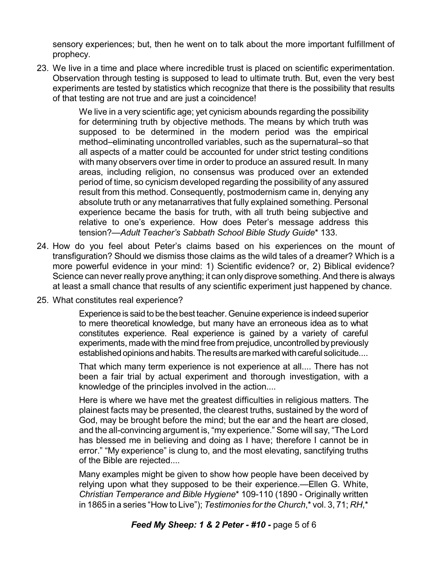sensory experiences; but, then he went on to talk about the more important fulfillment of prophecy.

23. We live in a time and place where incredible trust is placed on scientific experimentation. Observation through testing is supposed to lead to ultimate truth. But, even the very best experiments are tested by statistics which recognize that there is the possibility that results of that testing are not true and are just a coincidence!

> We live in a very scientific age; yet cynicism abounds regarding the possibility for determining truth by objective methods. The means by which truth was supposed to be determined in the modern period was the empirical method–eliminating uncontrolled variables, such as the supernatural–so that all aspects of a matter could be accounted for under strict testing conditions with many observers over time in order to produce an assured result. In many areas, including religion, no consensus was produced over an extended period of time, so cynicism developed regarding the possibility of any assured result from this method. Consequently, postmodernism came in, denying any absolute truth or any metanarratives that fully explained something. Personal experience became the basis for truth, with all truth being subjective and relative to one's experience. How does Peter's message address this tension?—*Adult Teacher's Sabbath School Bible Study Guide*\* 133.

- 24. How do you feel about Peter's claims based on his experiences on the mount of transfiguration? Should we dismiss those claims as the wild tales of a dreamer? Which is a more powerful evidence in your mind: 1) Scientific evidence? or, 2) Biblical evidence? Science can never really prove anything; it can only disprove something. And there is always at least a small chance that results of any scientific experiment just happened by chance.
- 25. What constitutes real experience?

Experience is said to be the best teacher. Genuine experience is indeed superior to mere theoretical knowledge, but many have an erroneous idea as to what constitutes experience. Real experience is gained by a variety of careful experiments, made with the mind free from prejudice, uncontrolled by previously established opinions and habits. The results are marked with careful solicitude....

That which many term experience is not experience at all.... There has not been a fair trial by actual experiment and thorough investigation, with a knowledge of the principles involved in the action....

Here is where we have met the greatest difficulties in religious matters. The plainest facts may be presented, the clearest truths, sustained by the word of God, may be brought before the mind; but the ear and the heart are closed, and the all-convincing argument is, "my experience." Some will say, "The Lord has blessed me in believing and doing as I have; therefore I cannot be in error." "My experience" is clung to, and the most elevating, sanctifying truths of the Bible are rejected....

Many examples might be given to show how people have been deceived by relying upon what they supposed to be their experience.—Ellen G. White, *Christian Temperance and Bible Hygiene*\* 109-110 (1890 - Originally written in 1865 in a series "How to Live"); *Testimonies for the Church*,\* vol. 3, 71; *RH*,\*

## *Feed My Sheep: 1 & 2 Peter - #10 -* page 5 of 6